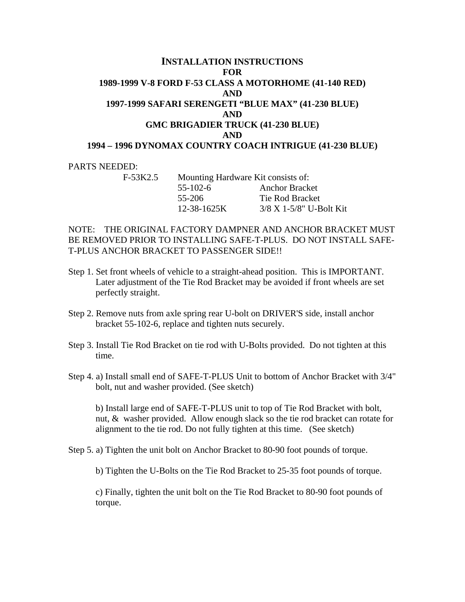## **INSTALLATION INSTRUCTIONS FOR 1989-1999 V-8 FORD F-53 CLASS A MOTORHOME (41-140 RED) AND 1997-1999 SAFARI SERENGETI "BLUE MAX" (41-230 BLUE) AND GMC BRIGADIER TRUCK (41-230 BLUE) AND 1994 – 1996 DYNOMAX COUNTRY COACH INTRIGUE (41-230 BLUE)**

## PARTS NEEDED:

| F-53K2.5 | Mounting Hardware Kit consists of: |                           |
|----------|------------------------------------|---------------------------|
|          | $55 - 102 - 6$                     | <b>Anchor Bracket</b>     |
|          | 55-206                             | Tie Rod Bracket           |
|          | 12-38-1625K                        | $3/8$ X 1-5/8" U-Bolt Kit |

## NOTE: THE ORIGINAL FACTORY DAMPNER AND ANCHOR BRACKET MUST BE REMOVED PRIOR TO INSTALLING SAFE-T-PLUS. DO NOT INSTALL SAFE-T-PLUS ANCHOR BRACKET TO PASSENGER SIDE!!

- Step 1. Set front wheels of vehicle to a straight-ahead position. This is IMPORTANT. Later adjustment of the Tie Rod Bracket may be avoided if front wheels are set perfectly straight.
- Step 2. Remove nuts from axle spring rear U-bolt on DRIVER'S side, install anchor bracket 55-102-6, replace and tighten nuts securely.
- Step 3. Install Tie Rod Bracket on tie rod with U-Bolts provided. Do not tighten at this time.
- Step 4. a) Install small end of SAFE-T-PLUS Unit to bottom of Anchor Bracket with 3/4" bolt, nut and washer provided. (See sketch)

 b) Install large end of SAFE-T-PLUS unit to top of Tie Rod Bracket with bolt, nut, & washer provided. Allow enough slack so the tie rod bracket can rotate for alignment to the tie rod. Do not fully tighten at this time. (See sketch)

Step 5. a) Tighten the unit bolt on Anchor Bracket to 80-90 foot pounds of torque.

b) Tighten the U-Bolts on the Tie Rod Bracket to 25-35 foot pounds of torque.

 c) Finally, tighten the unit bolt on the Tie Rod Bracket to 80-90 foot pounds of torque.